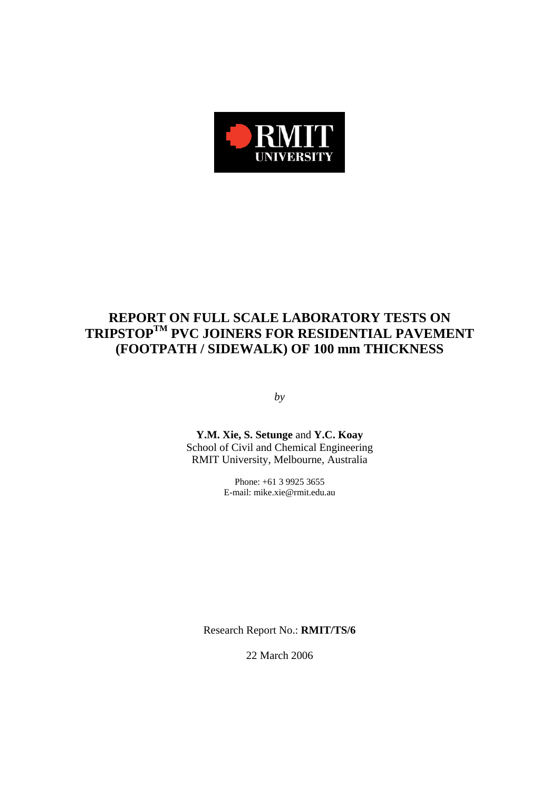

# **REPORT ON FULL SCALE LABORATORY TESTS ON TRIPSTOPTM PVC JOINERS FOR RESIDENTIAL PAVEMENT (FOOTPATH / SIDEWALK) OF 100 mm THICKNESS**

*by* 

**Y.M. Xie, S. Setunge** and **Y.C. Koay**  School of Civil and Chemical Engineering RMIT University, Melbourne, Australia

> Phone: +61 3 9925 3655 E-mail: mike.xie@rmit.edu.au

Research Report No.: **RMIT/TS/6**

22 March 2006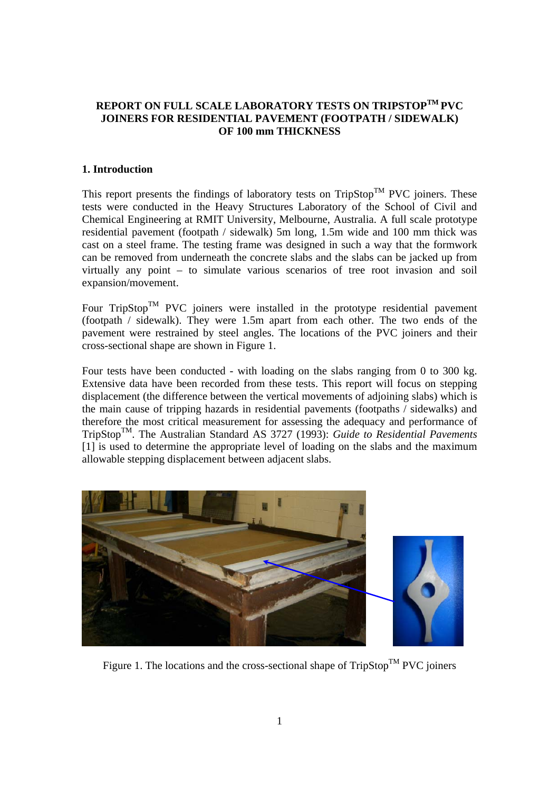# **REPORT ON FULL SCALE LABORATORY TESTS ON TRIPSTOPTM PVC JOINERS FOR RESIDENTIAL PAVEMENT (FOOTPATH / SIDEWALK) OF 100 mm THICKNESS**

## **1. Introduction**

This report presents the findings of laboratory tests on  $TripStop^{TM}$  PVC joiners. These tests were conducted in the Heavy Structures Laboratory of the School of Civil and Chemical Engineering at RMIT University, Melbourne, Australia. A full scale prototype residential pavement (footpath / sidewalk) 5m long, 1.5m wide and 100 mm thick was cast on a steel frame. The testing frame was designed in such a way that the formwork can be removed from underneath the concrete slabs and the slabs can be jacked up from virtually any point – to simulate various scenarios of tree root invasion and soil expansion/movement.

Four TripStop<sup>TM</sup> PVC joiners were installed in the prototype residential pavement (footpath / sidewalk). They were 1.5m apart from each other. The two ends of the pavement were restrained by steel angles. The locations of the PVC joiners and their cross-sectional shape are shown in Figure 1.

Four tests have been conducted - with loading on the slabs ranging from 0 to 300 kg. Extensive data have been recorded from these tests. This report will focus on stepping displacement (the difference between the vertical movements of adjoining slabs) which is the main cause of tripping hazards in residential pavements (footpaths / sidewalks) and therefore the most critical measurement for assessing the adequacy and performance of TripStopTM. The Australian Standard AS 3727 (1993): *Guide to Residential Pavements*  [1] is used to determine the appropriate level of loading on the slabs and the maximum allowable stepping displacement between adjacent slabs.



Figure 1. The locations and the cross-sectional shape of  $\mathop{\mathrm{TripStop}}\nolimits^{\mathop{\mathrm{TM}}\nolimits}\mathop{\mathrm{PVC}}$  joiners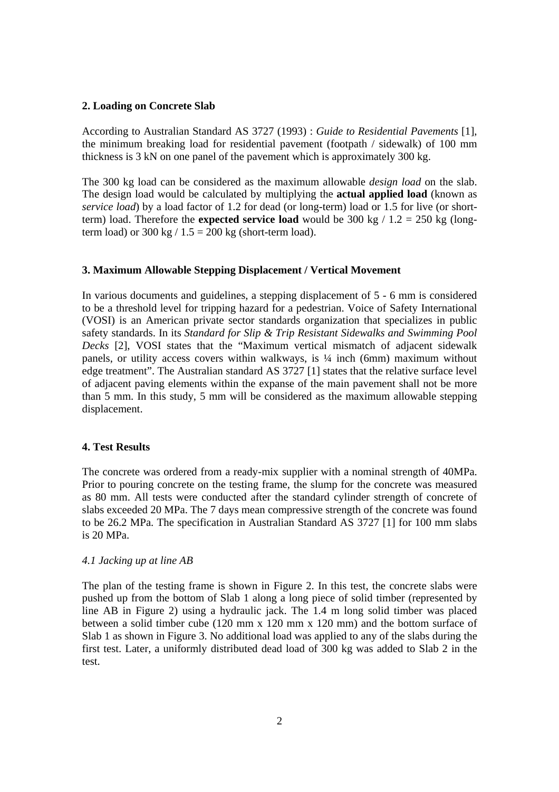#### **2. Loading on Concrete Slab**

According to Australian Standard AS 3727 (1993) : *Guide to Residential Pavements* [1], the minimum breaking load for residential pavement (footpath / sidewalk) of 100 mm thickness is 3 kN on one panel of the pavement which is approximately 300 kg.

The 300 kg load can be considered as the maximum allowable *design load* on the slab. The design load would be calculated by multiplying the **actual applied load** (known as *service load*) by a load factor of 1.2 for dead (or long-term) load or 1.5 for live (or shortterm) load. Therefore the **expected service load** would be 300 kg  $/ 1.2 = 250$  kg (longterm load) or  $300 \text{ kg} / 1.5 = 200 \text{ kg}$  (short-term load).

#### **3. Maximum Allowable Stepping Displacement / Vertical Movement**

In various documents and guidelines, a stepping displacement of 5 - 6 mm is considered to be a threshold level for tripping hazard for a pedestrian. Voice of Safety International (VOSI) is an American private sector standards organization that specializes in public safety standards. In its *Standard for Slip & Trip Resistant Sidewalks and Swimming Pool Decks* [2], VOSI states that the "Maximum vertical mismatch of adjacent sidewalk panels, or utility access covers within walkways, is  $\frac{1}{4}$  inch (6mm) maximum without edge treatment". The Australian standard AS 3727 [1] states that the relative surface level of adjacent paving elements within the expanse of the main pavement shall not be more than 5 mm. In this study, 5 mm will be considered as the maximum allowable stepping displacement.

#### **4. Test Results**

The concrete was ordered from a ready-mix supplier with a nominal strength of 40MPa. Prior to pouring concrete on the testing frame, the slump for the concrete was measured as 80 mm. All tests were conducted after the standard cylinder strength of concrete of slabs exceeded 20 MPa. The 7 days mean compressive strength of the concrete was found to be 26.2 MPa. The specification in Australian Standard AS 3727 [1] for 100 mm slabs is 20 MPa.

## *4.1 Jacking up at line AB*

The plan of the testing frame is shown in Figure 2. In this test, the concrete slabs were pushed up from the bottom of Slab 1 along a long piece of solid timber (represented by line AB in Figure 2) using a hydraulic jack. The 1.4 m long solid timber was placed between a solid timber cube (120 mm x 120 mm x 120 mm) and the bottom surface of Slab 1 as shown in Figure 3. No additional load was applied to any of the slabs during the first test. Later, a uniformly distributed dead load of 300 kg was added to Slab 2 in the test.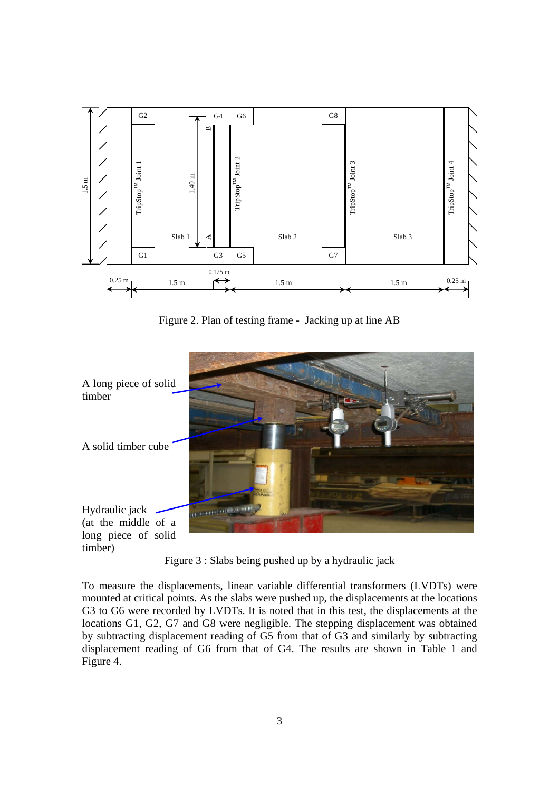

Figure 2. Plan of testing frame - Jacking up at line AB



Figure 3 : Slabs being pushed up by a hydraulic jack

To measure the displacements, linear variable differential transformers (LVDTs) were mounted at critical points. As the slabs were pushed up, the displacements at the locations G3 to G6 were recorded by LVDTs. It is noted that in this test, the displacements at the locations G1, G2, G7 and G8 were negligible. The stepping displacement was obtained by subtracting displacement reading of G5 from that of G3 and similarly by subtracting displacement reading of G6 from that of G4. The results are shown in Table 1 and Figure 4.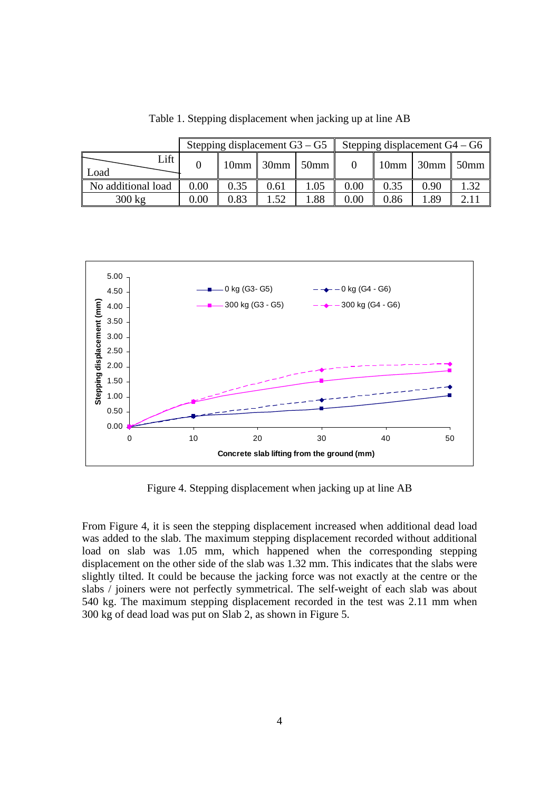|                    |      | Stepping displacement $G3 - G5$ |                    |      | Stepping displacement $G4 - G6$ |      |      |                         |  |  |
|--------------------|------|---------------------------------|--------------------|------|---------------------------------|------|------|-------------------------|--|--|
| Lift<br>Load       |      |                                 | $10mm$ 30mm $50mm$ |      |                                 |      |      | $10mm$ 30mm $\sim$ 50mm |  |  |
| No additional load | 0.00 | 0.35                            | 0.61               | 1.05 | $0.00\,$                        | 0.35 | 0.90 | 1.32                    |  |  |
| $300 \text{ kg}$   | 0.00 | 0.83                            | 1.52               | 1.88 | $0.00\,$                        | 0.86 | l.89 |                         |  |  |

Table 1. Stepping displacement when jacking up at line AB



Figure 4. Stepping displacement when jacking up at line AB

From Figure 4, it is seen the stepping displacement increased when additional dead load was added to the slab. The maximum stepping displacement recorded without additional load on slab was 1.05 mm, which happened when the corresponding stepping displacement on the other side of the slab was 1.32 mm. This indicates that the slabs were slightly tilted. It could be because the jacking force was not exactly at the centre or the slabs / joiners were not perfectly symmetrical. The self-weight of each slab was about 540 kg. The maximum stepping displacement recorded in the test was 2.11 mm when 300 kg of dead load was put on Slab 2, as shown in Figure 5.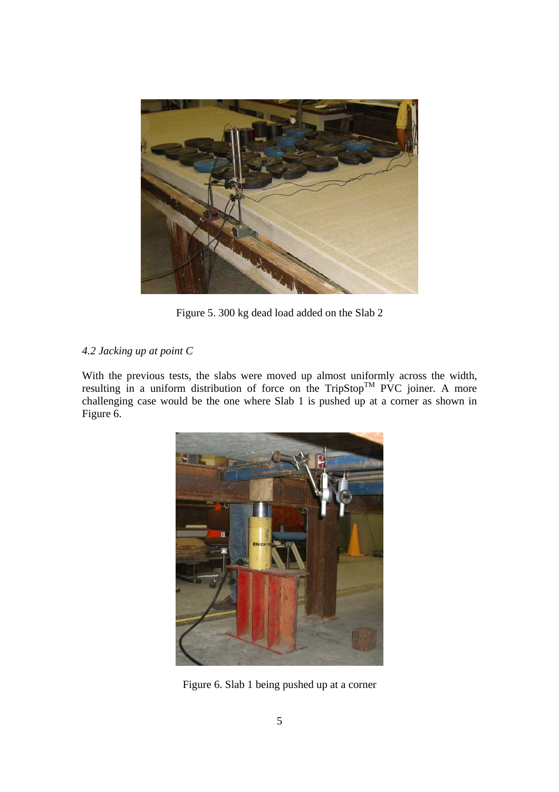

Figure 5. 300 kg dead load added on the Slab 2

# *4.2 Jacking up at point C*

With the previous tests, the slabs were moved up almost uniformly across the width, resulting in a uniform distribution of force on the TripStop<sup>TM</sup> PVC joiner. A more challenging case would be the one where Slab 1 is pushed up at a corner as shown in Figure 6.



Figure 6. Slab 1 being pushed up at a corner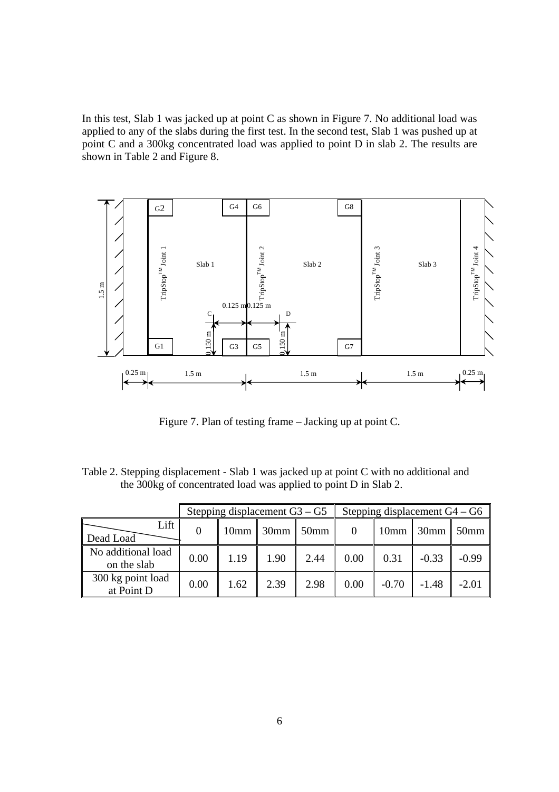In this test, Slab 1 was jacked up at point C as shown in Figure 7. No additional load was applied to any of the slabs during the first test. In the second test, Slab 1 was pushed up at point C and a 300kg concentrated load was applied to point D in slab 2. The results are shown in Table 2 and Figure 8.



Figure 7. Plan of testing frame – Jacking up at point C.

Table 2. Stepping displacement - Slab 1 was jacked up at point C with no additional and the 300kg of concentrated load was applied to point D in Slab 2.

|                                   |      |                  | Stepping displacement $G3 - G5$ |      | Stepping displacement $G4 - G6$ |                  |                  |                  |  |
|-----------------------------------|------|------------------|---------------------------------|------|---------------------------------|------------------|------------------|------------------|--|
| Lift<br>Dead Load                 |      | 10 <sub>mm</sub> | $30$ mm                         | 50mm |                                 | 10 <sub>mm</sub> | 30 <sub>mm</sub> | 50 <sub>mm</sub> |  |
| No additional load<br>on the slab | 0.00 | 1.19             | 1.90                            | 2.44 | 0.00                            | 0.31             | $-0.33$          | $-0.99$          |  |
| 300 kg point load<br>at Point D   | 0.00 | 1.62             | 2.39                            | 2.98 | 0.00                            | $-0.70$          | $-1.48$          | $-2.01$          |  |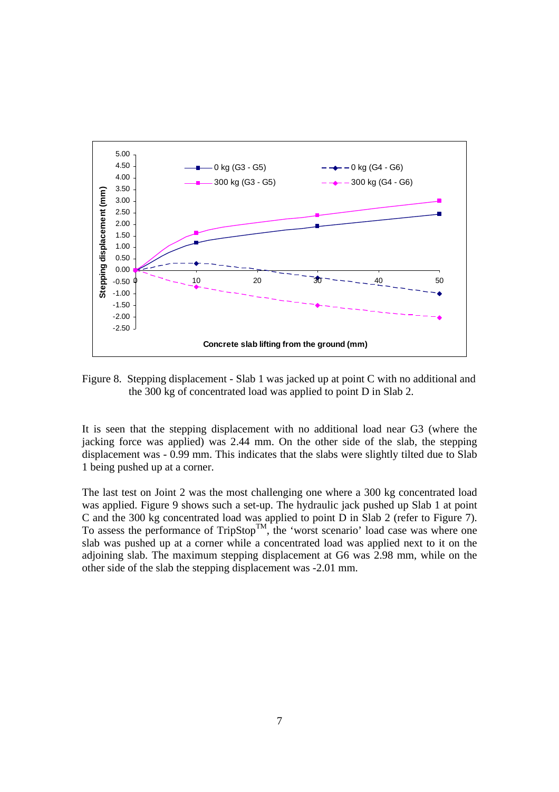

Figure 8. Stepping displacement - Slab 1 was jacked up at point C with no additional and the 300 kg of concentrated load was applied to point D in Slab 2.

It is seen that the stepping displacement with no additional load near G3 (where the jacking force was applied) was 2.44 mm. On the other side of the slab, the stepping displacement was - 0.99 mm. This indicates that the slabs were slightly tilted due to Slab 1 being pushed up at a corner.

The last test on Joint 2 was the most challenging one where a 300 kg concentrated load was applied. Figure 9 shows such a set-up. The hydraulic jack pushed up Slab 1 at point C and the 300 kg concentrated load was applied to point D in Slab 2 (refer to Figure 7). To assess the performance of  $TripStop^{TM}$ , the 'worst scenario' load case was where one slab was pushed up at a corner while a concentrated load was applied next to it on the adjoining slab. The maximum stepping displacement at G6 was 2.98 mm, while on the other side of the slab the stepping displacement was -2.01 mm.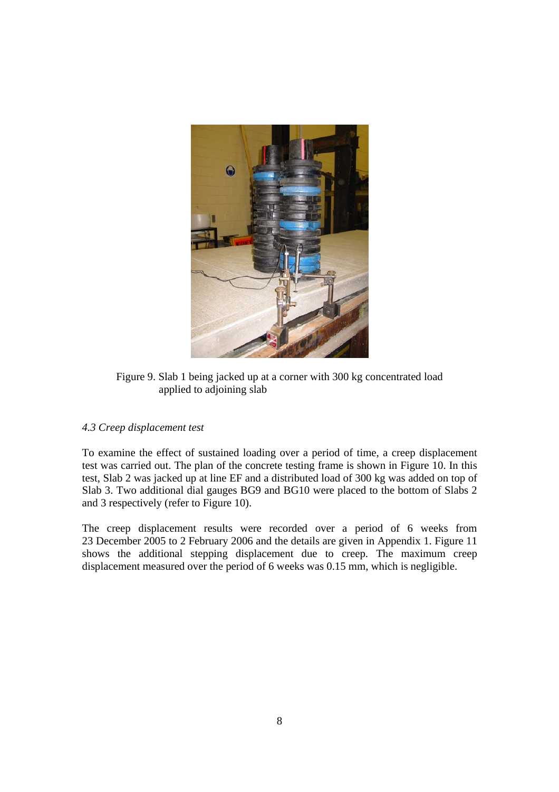

Figure 9. Slab 1 being jacked up at a corner with 300 kg concentrated load applied to adjoining slab

# *4.3 Creep displacement test*

To examine the effect of sustained loading over a period of time, a creep displacement test was carried out. The plan of the concrete testing frame is shown in Figure 10. In this test, Slab 2 was jacked up at line EF and a distributed load of 300 kg was added on top of Slab 3. Two additional dial gauges BG9 and BG10 were placed to the bottom of Slabs 2 and 3 respectively (refer to Figure 10).

The creep displacement results were recorded over a period of 6 weeks from 23 December 2005 to 2 February 2006 and the details are given in Appendix 1. Figure 11 shows the additional stepping displacement due to creep. The maximum creep displacement measured over the period of 6 weeks was 0.15 mm, which is negligible.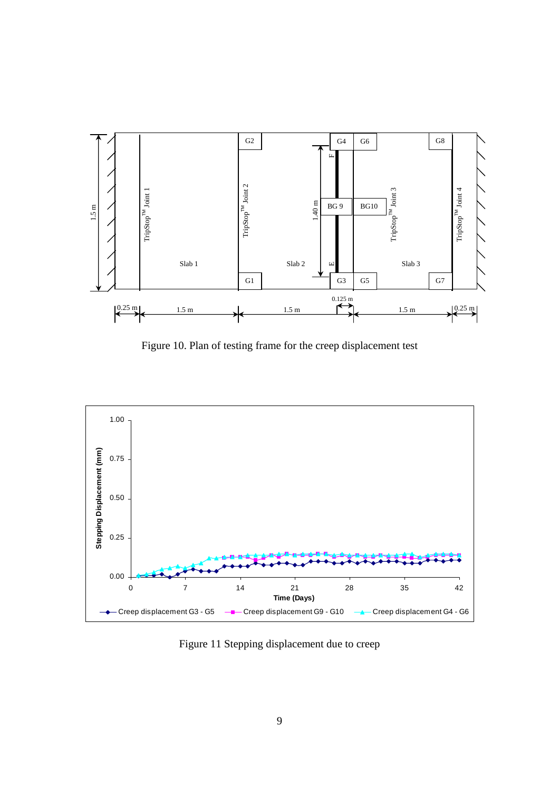

Figure 10. Plan of testing frame for the creep displacement test



Figure 11 Stepping displacement due to creep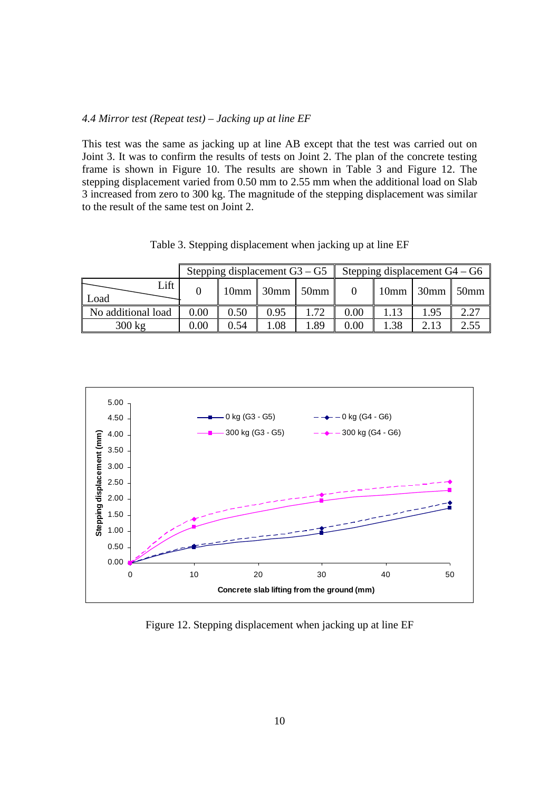## *4.4 Mirror test (Repeat test) – Jacking up at line EF*

This test was the same as jacking up at line AB except that the test was carried out on Joint 3. It was to confirm the results of tests on Joint 2. The plan of the concrete testing frame is shown in Figure 10. The results are shown in Table 3 and Figure 12. The stepping displacement varied from 0.50 mm to 2.55 mm when the additional load on Slab 3 increased from zero to 300 kg. The magnitude of the stepping displacement was similar to the result of the same test on Joint 2.

Table 3. Stepping displacement when jacking up at line EF

|                    |      | Stepping displacement $G3 - G5$ |      |                    | Stepping displacement $G4 - G6$ |                  |      |      |  |  |
|--------------------|------|---------------------------------|------|--------------------|---------------------------------|------------------|------|------|--|--|
| Lift<br>Load       |      |                                 |      | $10mm$ 30mm $50mm$ |                                 | $10mm$ 30mm 50mm |      |      |  |  |
| No additional load | 0.00 | 0.50                            | 0.95 | 1.72               | 0.00                            |                  | 1.95 | 2.27 |  |  |
| $300 \text{ kg}$   | 0.00 | 0.54                            | .08  | .89                | 0.00                            | 1.38             |      |      |  |  |



Figure 12. Stepping displacement when jacking up at line EF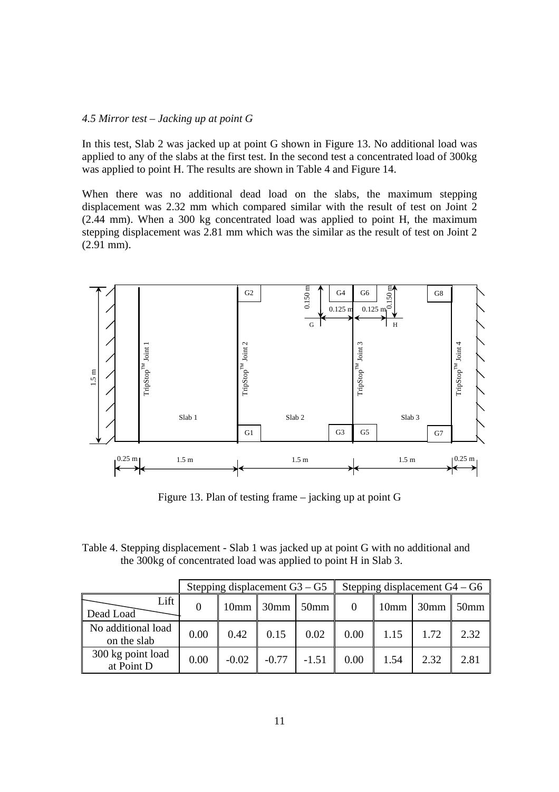## *4.5 Mirror test – Jacking up at point G*

In this test, Slab 2 was jacked up at point G shown in Figure 13. No additional load was applied to any of the slabs at the first test. In the second test a concentrated load of 300kg was applied to point H. The results are shown in Table 4 and Figure 14.

When there was no additional dead load on the slabs, the maximum stepping displacement was 2.32 mm which compared similar with the result of test on Joint 2 (2.44 mm). When a 300 kg concentrated load was applied to point H, the maximum stepping displacement was 2.81 mm which was the similar as the result of test on Joint 2  $(2.91$  mm).



Figure 13. Plan of testing frame – jacking up at point G

Table 4. Stepping displacement - Slab 1 was jacked up at point G with no additional and the 300kg of concentrated load was applied to point H in Slab 3.

|                                   |          | Stepping displacement $G3 - G5$ |             |         | Stepping displacement $G4 - G6$ |                  |                |                  |  |  |
|-----------------------------------|----------|---------------------------------|-------------|---------|---------------------------------|------------------|----------------|------------------|--|--|
| Lift<br>Dead Load                 | $\theta$ |                                 | $10mm$ 30mm | $50$ mm |                                 | 10 <sub>mm</sub> | $\sqrt{30}$ mm | 50 <sub>mm</sub> |  |  |
| No additional load<br>on the slab | 0.00     | 0.42                            | 0.15        | 0.02    | 0.00                            | 1.15             | 1.72           | 2.32             |  |  |
| 300 kg point load<br>at Point D   | 0.00     | $-0.02$                         | $-0.77$     | $-1.51$ | 0.00                            | 1.54             | 2.32           | 2.81             |  |  |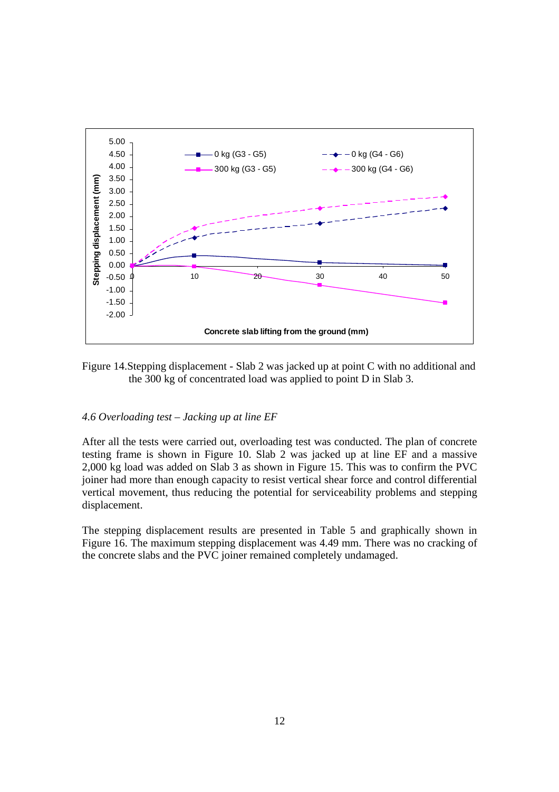

Figure 14.Stepping displacement - Slab 2 was jacked up at point C with no additional and the 300 kg of concentrated load was applied to point D in Slab 3.

## *4.6 Overloading test – Jacking up at line EF*

After all the tests were carried out, overloading test was conducted. The plan of concrete testing frame is shown in Figure 10. Slab 2 was jacked up at line EF and a massive 2,000 kg load was added on Slab 3 as shown in Figure 15. This was to confirm the PVC joiner had more than enough capacity to resist vertical shear force and control differential vertical movement, thus reducing the potential for serviceability problems and stepping displacement.

The stepping displacement results are presented in Table 5 and graphically shown in Figure 16. The maximum stepping displacement was 4.49 mm. There was no cracking of the concrete slabs and the PVC joiner remained completely undamaged.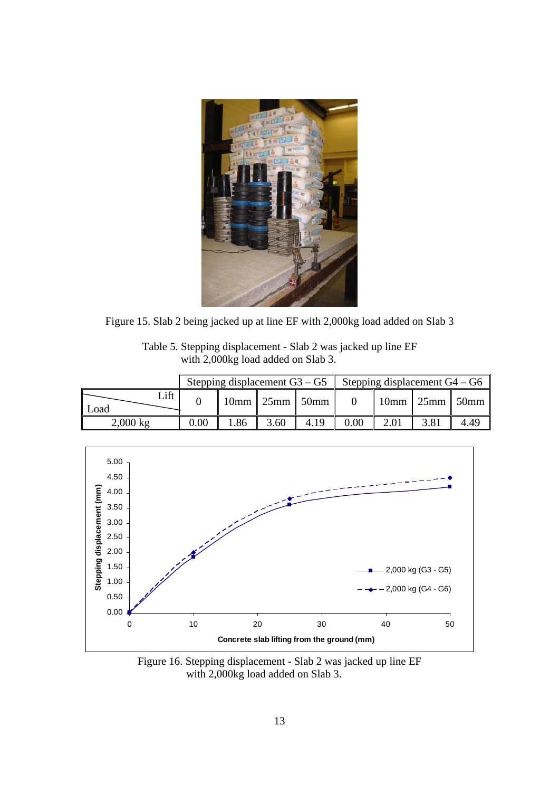

Figure 15. Slab 2 being jacked up at line EF with 2,000kg load added on Slab 3

| Table 5. Stepping displacement - Slab 2 was jacked up line EF |  |
|---------------------------------------------------------------|--|
| with 2,000kg load added on Slab 3.                            |  |

|                    |      | Stepping displacement $G3 - G5$ |                                  |      | Stepping displacement $G4 - G6$ |  |                  |      |  |  |
|--------------------|------|---------------------------------|----------------------------------|------|---------------------------------|--|------------------|------|--|--|
| Lift<br>Load       |      |                                 | $10 \text{mm}$ 25mm $\vert$ 50mm |      |                                 |  | $10mm$ 25mm 50mm |      |  |  |
| $2,000 \text{ kg}$ | 0.00 | .86                             | 3.60                             | 4.19 | $0.00\,$                        |  |                  | 4.49 |  |  |



Figure 16. Stepping displacement - Slab 2 was jacked up line EF with 2,000kg load added on Slab 3.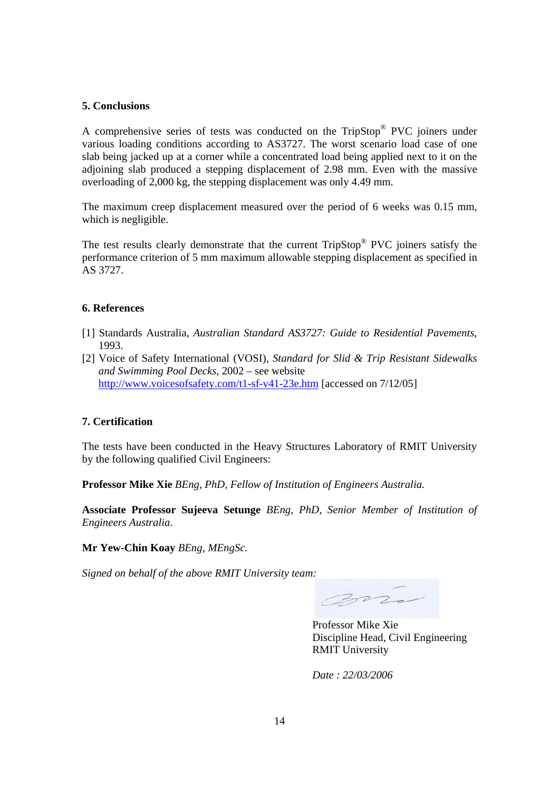## **5. Conclusions**

A comprehensive series of tests was conducted on the TripStop® PVC joiners under various loading conditions according to AS3727. The worst scenario load case of one slab being jacked up at a corner while a concentrated load being applied next to it on the adjoining slab produced a stepping displacement of 2.98 mm. Even with the massive overloading of 2,000 kg, the stepping displacement was only 4.49 mm.

The maximum creep displacement measured over the period of 6 weeks was 0.15 mm, which is negligible.

The test results clearly demonstrate that the current TripStop<sup>®</sup> PVC joiners satisfy the performance criterion of 5 mm maximum allowable stepping displacement as specified in AS 3727.

## **6. References**

- [1] Standards Australia, *Australian Standard AS3727: Guide to Residential Pavements*, 1993.
- [2] Voice of Safety International (VOSI), *Standard for Slid & Trip Resistant Sidewalks and Swimming Pool Decks*, 2002 – see website http://www.voicesofsafety.com/t1-sf-v41-23e.htm [accessed on 7/12/05]

## **7. Certification**

The tests have been conducted in the Heavy Structures Laboratory of RMIT University by the following qualified Civil Engineers:

**Professor Mike Xie** *BEng, PhD, Fellow of Institution of Engineers Australia.*

**Associate Professor Sujeeva Setunge** *BEng, PhD, Senior Member of Institution of Engineers Australia.*

**Mr Yew-Chin Koay** *BEng, MEngSc.*

*Signed on behalf of the above RMIT University team:*

Con

Professor Mike Xie Discipline Head, Civil Engineering RMIT University

*Date : 22/03/2006*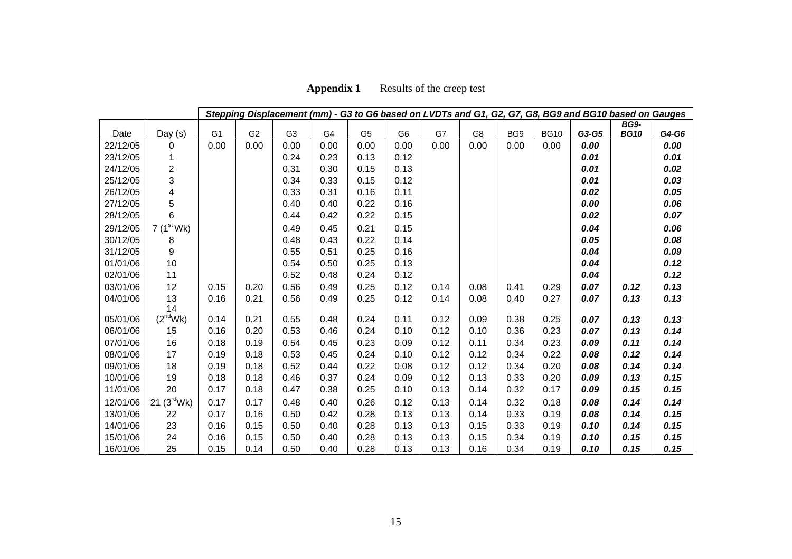| <b>Appendix 1</b> | Results of the creep test |
|-------------------|---------------------------|
|-------------------|---------------------------|

|          | Stepping Displacement (mm) - G3 to G6 based on LVDTs and G1, G2, G7, G8, BG9 and BG10 based on Gauges |                |                |                |      |                |                |      |      |      |             |       |             |       |
|----------|-------------------------------------------------------------------------------------------------------|----------------|----------------|----------------|------|----------------|----------------|------|------|------|-------------|-------|-------------|-------|
|          |                                                                                                       |                |                |                |      |                |                |      |      |      |             |       | <b>BG9-</b> |       |
| Date     | Day (s)                                                                                               | G <sub>1</sub> | G <sub>2</sub> | G <sub>3</sub> | G4   | G <sub>5</sub> | G <sub>6</sub> | G7   | G8   | BG9  | <b>BG10</b> | G3-G5 | <b>BG10</b> | G4-G6 |
| 22/12/05 | 0                                                                                                     | 0.00           | 0.00           | 0.00           | 0.00 | 0.00           | 0.00           | 0.00 | 0.00 | 0.00 | 0.00        | 0.00  |             | 0.00  |
| 23/12/05 | 1                                                                                                     |                |                | 0.24           | 0.23 | 0.13           | 0.12           |      |      |      |             | 0.01  |             | 0.01  |
| 24/12/05 | $\overline{2}$                                                                                        |                |                | 0.31           | 0.30 | 0.15           | 0.13           |      |      |      |             | 0.01  |             | 0.02  |
| 25/12/05 | 3                                                                                                     |                |                | 0.34           | 0.33 | 0.15           | 0.12           |      |      |      |             | 0.01  |             | 0.03  |
| 26/12/05 | 4                                                                                                     |                |                | 0.33           | 0.31 | 0.16           | 0.11           |      |      |      |             | 0.02  |             | 0.05  |
| 27/12/05 | 5                                                                                                     |                |                | 0.40           | 0.40 | 0.22           | 0.16           |      |      |      |             | 0.00  |             | 0.06  |
| 28/12/05 | 6                                                                                                     |                |                | 0.44           | 0.42 | 0.22           | 0.15           |      |      |      |             | 0.02  |             | 0.07  |
| 29/12/05 | 7 $(1st Wk)$                                                                                          |                |                | 0.49           | 0.45 | 0.21           | 0.15           |      |      |      |             | 0.04  |             | 0.06  |
| 30/12/05 | 8                                                                                                     |                |                | 0.48           | 0.43 | 0.22           | 0.14           |      |      |      |             | 0.05  |             | 0.08  |
| 31/12/05 | 9                                                                                                     |                |                | 0.55           | 0.51 | 0.25           | 0.16           |      |      |      |             | 0.04  |             | 0.09  |
| 01/01/06 | 10                                                                                                    |                |                | 0.54           | 0.50 | 0.25           | 0.13           |      |      |      |             | 0.04  |             | 0.12  |
| 02/01/06 | 11                                                                                                    |                |                | 0.52           | 0.48 | 0.24           | 0.12           |      |      |      |             | 0.04  |             | 0.12  |
| 03/01/06 | 12                                                                                                    | 0.15           | 0.20           | 0.56           | 0.49 | 0.25           | 0.12           | 0.14 | 0.08 | 0.41 | 0.29        | 0.07  | 0.12        | 0.13  |
| 04/01/06 | 13                                                                                                    | 0.16           | 0.21           | 0.56           | 0.49 | 0.25           | 0.12           | 0.14 | 0.08 | 0.40 | 0.27        | 0.07  | 0.13        | 0.13  |
|          | 14                                                                                                    |                |                |                |      |                |                |      |      |      |             |       |             |       |
| 05/01/06 | (2 <sup>nd</sup> Wk)                                                                                  | 0.14           | 0.21           | 0.55           | 0.48 | 0.24           | 0.11           | 0.12 | 0.09 | 0.38 | 0.25        | 0.07  | 0.13        | 0.13  |
| 06/01/06 | 15                                                                                                    | 0.16           | 0.20           | 0.53           | 0.46 | 0.24           | 0.10           | 0.12 | 0.10 | 0.36 | 0.23        | 0.07  | 0.13        | 0.14  |
| 07/01/06 | 16                                                                                                    | 0.18           | 0.19           | 0.54           | 0.45 | 0.23           | 0.09           | 0.12 | 0.11 | 0.34 | 0.23        | 0.09  | 0.11        | 0.14  |
| 08/01/06 | 17                                                                                                    | 0.19           | 0.18           | 0.53           | 0.45 | 0.24           | 0.10           | 0.12 | 0.12 | 0.34 | 0.22        | 0.08  | 0.12        | 0.14  |
| 09/01/06 | 18                                                                                                    | 0.19           | 0.18           | 0.52           | 0.44 | 0.22           | 0.08           | 0.12 | 0.12 | 0.34 | 0.20        | 0.08  | 0.14        | 0.14  |
| 10/01/06 | 19                                                                                                    | 0.18           | 0.18           | 0.46           | 0.37 | 0.24           | 0.09           | 0.12 | 0.13 | 0.33 | 0.20        | 0.09  | 0.13        | 0.15  |
| 11/01/06 | 20                                                                                                    | 0.17           | 0.18           | 0.47           | 0.38 | 0.25           | 0.10           | 0.13 | 0.14 | 0.32 | 0.17        | 0.09  | 0.15        | 0.15  |
| 12/01/06 | 21 (3 <sup>rd</sup> Wk)                                                                               | 0.17           | 0.17           | 0.48           | 0.40 | 0.26           | 0.12           | 0.13 | 0.14 | 0.32 | 0.18        | 0.08  | 0.14        | 0.14  |
| 13/01/06 | 22                                                                                                    | 0.17           | 0.16           | 0.50           | 0.42 | 0.28           | 0.13           | 0.13 | 0.14 | 0.33 | 0.19        | 0.08  | 0.14        | 0.15  |
| 14/01/06 | 23                                                                                                    | 0.16           | 0.15           | 0.50           | 0.40 | 0.28           | 0.13           | 0.13 | 0.15 | 0.33 | 0.19        | 0.10  | 0.14        | 0.15  |
| 15/01/06 | 24                                                                                                    | 0.16           | 0.15           | 0.50           | 0.40 | 0.28           | 0.13           | 0.13 | 0.15 | 0.34 | 0.19        | 0.10  | 0.15        | 0.15  |
| 16/01/06 | 25                                                                                                    | 0.15           | 0.14           | 0.50           | 0.40 | 0.28           | 0.13           | 0.13 | 0.16 | 0.34 | 0.19        | 0.10  | 0.15        | 0.15  |